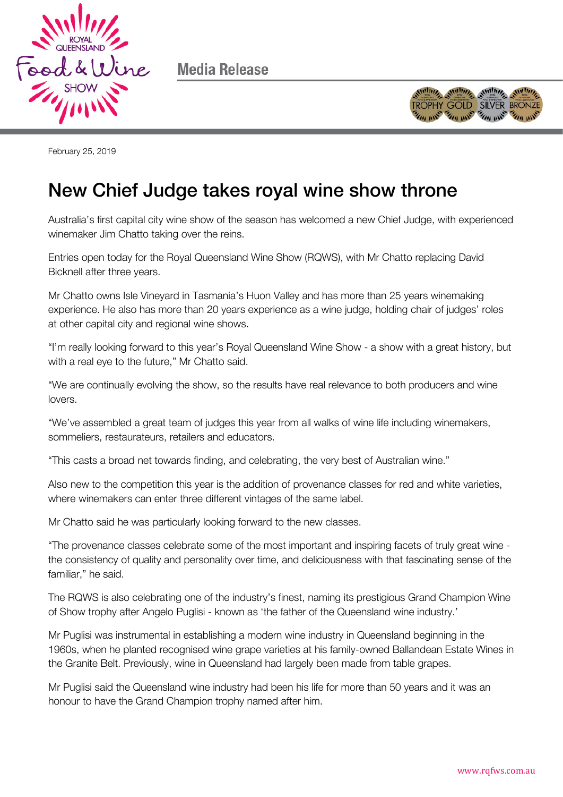

Media Release



February 25, 2019

## New Chief Judge takes royal wine show throne

Australia's first capital city wine show of the season has welcomed a new Chief Judge, with experienced winemaker Jim Chatto taking over the reins.

Entries open today for the Royal Queensland Wine Show (RQWS), with Mr Chatto replacing David Bicknell after three years.

Mr Chatto owns Isle Vineyard in Tasmania's Huon Valley and has more than 25 years winemaking experience. He also has more than 20 years experience as a wine judge, holding chair of judges' roles at other capital city and regional wine shows.

"I'm really looking forward to this year's Royal Queensland Wine Show - a show with a great history, but with a real eye to the future," Mr Chatto said.

"We are continually evolving the show, so the results have real relevance to both producers and wine lovers.

"We've assembled a great team of judges this year from all walks of wine life including winemakers, sommeliers, restaurateurs, retailers and educators.

"This casts a broad net towards finding, and celebrating, the very best of Australian wine."

Also new to the competition this year is the addition of provenance classes for red and white varieties, where winemakers can enter three different vintages of the same label.

Mr Chatto said he was particularly looking forward to the new classes.

"The provenance classes celebrate some of the most important and inspiring facets of truly great wine the consistency of quality and personality over time, and deliciousness with that fascinating sense of the familiar," he said.

The RQWS is also celebrating one of the industry's finest, naming its prestigious Grand Champion Wine of Show trophy after Angelo Puglisi - known as 'the father of the Queensland wine industry.'

Mr Puglisi was instrumental in establishing a modern wine industry in Queensland beginning in the 1960s, when he planted recognised wine grape varieties at his family-owned Ballandean Estate Wines in the Granite Belt. Previously, wine in Queensland had largely been made from table grapes.

Mr Puglisi said the Queensland wine industry had been his life for more than 50 years and it was an honour to have the Grand Champion trophy named after him.